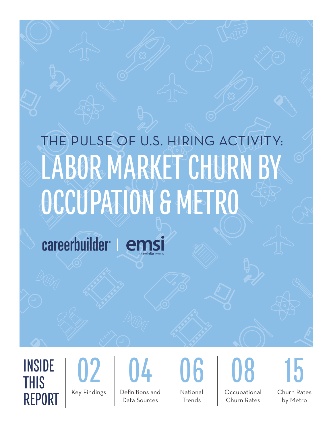# LABOR MARKET CHURN BY OCCUPATION & METRO THE PULSE OF U.S. HIRING ACTIVITY:

careerbuilder | emsi

THIS REPORT



Data Sources

National

**Trends** 

**Occupational** Churn Rates

Churn Rates by Metro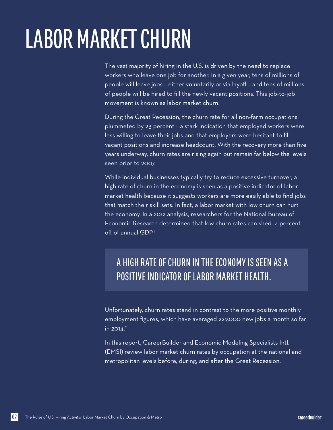## LABOR MARKET CHURN

The vast majority of hiring in the U.S. is driven by the need to replace workers who leave one job for another. In a given year, tens of millions of people will leave jobs – either voluntarily or via layoff – and tens of millions of people will be hired to fill the newly vacant positions. This job-to-job movement is known as labor market churn.

During the Great Recession, the churn rate for all non-farm occupations plummeted by 23 percent – a stark indication that employed workers were less willing to leave their jobs and that employers were hesitant to fill vacant positions and increase headcount. With the recovery more than five years underway, churn rates are rising again but remain far below the levels seen prior to 2007.

While individual businesses typically try to reduce excessive turnover, a high rate of churn in the economy is seen as a positive indicator of labor market health because it suggests workers are more easily able to find jobs that match their skill sets. In fact, a labor market with low churn can hurt the economy. In a 2012 analysis, researchers for the National Bureau of Economic Research determined that low churn rates can shed .4 percent off of annual GDP.<sup>1</sup>

### A HIGH RATE OF CHURN IN THE ECONOMY IS SEEN AS A POSITIVE INDICATOR OF LABOR MARKET HEALTH.

Unfortunately, churn rates stand in contrast to the more positive monthly employment figures, which have averaged 229,000 new jobs a month so far  $in 2014.<sup>2</sup>$ 

In this report, CareerBuilder and Economic Modeling Specialists Intl. (EMSI) review labor market churn rates by occupation at the national and metropolitan levels before, during, and after the Great Recession.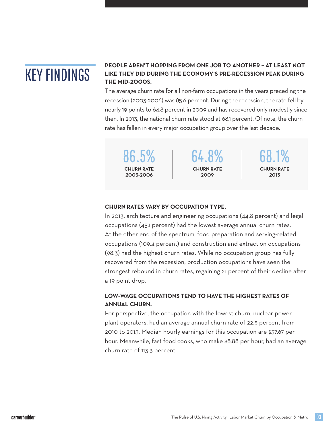## KEY FINDINGS

#### **PEOPLE AREN'T HOPPING FROM ONE JOB TO ANOTHER!–!AT LEAST NOT LIKE THEY DID DURING THE ECONOMY'S PRE-RECESSION PEAK DURING THE MID-2000S.**

The average churn rate for all non-farm occupations in the years preceding the recession (2003-2006) was 85.6 percent. During the recession, the rate fell by nearly 19 points to 64.8 percent in 2009 and has recovered only modestly since then. In 2013, the national churn rate stood at 68.1 percent. Of note, the churn rate has fallen in every major occupation group over the last decade.

**CHURN RATE \$%%'-\$%%(**

86.5% 64.8% 68.1% **CHURN RATE \$%%)**

**CHURN RATE \$%\*'**

#### **CHURN RATES VARY BY OCCUPATION TYPE.**

In 2013, architecture and engineering occupations (44.8 percent) and legal occupations (45.1 percent) had the lowest average annual churn rates. At the other end of the spectrum, food preparation and serving-related occupations (109.4 percent) and construction and extraction occupations (98.3) had the highest churn rates. While no occupation group has fully recovered from the recession, production occupations have seen the strongest rebound in churn rates, regaining 21 percent of their decline after a 19 point drop.

#### **LOW-WAGE OCCUPATIONS TEND TO HAVE THE HIGHEST RATES OF ANNUAL CHURN&**

For perspective, the occupation with the lowest churn, nuclear power plant operators, had an average annual churn rate of 22.5 percent from 2010 to 2013. Median hourly earnings for this occupation are \$37.67 per hour. Meanwhile, fast food cooks, who make \$8.88 per hour, had an average churn rate of 113.3 percent.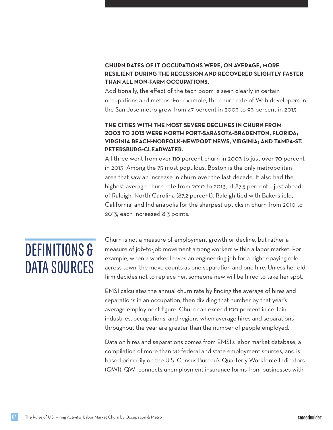#### **CHURN RATES OF IT OCCUPATIONS WERE, ON AVERAGE, MORE RESILIENT DURING THE RECESSION AND RECOVERED SLIGHTLY FASTER THAN ALL NON-FARM OCCUPATIONS&**

Additionally, the effect of the tech boom is seen clearly in certain occupations and metros. For example, the churn rate of Web developers in the San Jose metro grew from 47 percent in 2003 to 93 percent in 2013.

#### **THE CITIES WITH THE MOST SEVERE DECLINES IN CHURN FROM \$%%'!TO!\$%\*'!WERE NORTH PORT-SARASOTA-BRADENTON+!FLORIDA,! VIRGINIA BEACH-NORFOLK-NEWPORT NEWS+!VIRGINIA,!AND TAMPA-ST&! PETERSBURG-CLEARWATER&**

All three went from over 110 percent churn in 2003 to just over 70 percent in 2013. Among the 75 most populous, Boston is the only metropolitan area that saw an increase in churn over the last decade. It also had the highest average churn rate from 2010 to 2013, at 87.5 percent – just ahead of Raleigh, North Carolina (87.2 percent). Raleigh tied with Bakersfield, California, and Indianapolis for the sharpest upticks in churn from 2010 to 2013; each increased 8.3 points.

## DEFINITIONS & DATA SOURCES

Churn is not a measure of employment growth or decline, but rather a measure of job-to-job movement among workers within a labor market. For example, when a worker leaves an engineering job for a higher-paying role across town, the move counts as one separation and one hire. Unless her old firm decides not to replace her, someone new will be hired to take her spot.

EMSI calculates the annual churn rate by finding the average of hires and separations in an occupation, then dividing that number by that year's average employment figure. Churn can exceed 100 percent in certain industries, occupations, and regions when average hires and separations throughout the year are greater than the number of people employed.

Data on hires and separations comes from EMSI's labor market database, a compilation of more than 90 federal and state employment sources, and is based primarily on the U.S. Census Bureau's Quarterly Workforce Indicators (QWI). QWI connects unemployment insurance forms from businesses with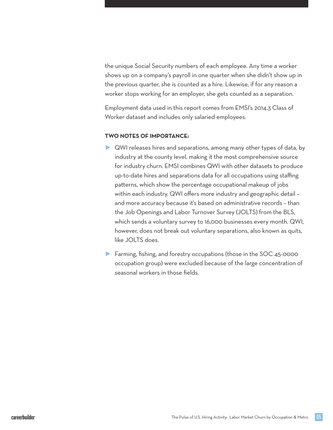the unique Social Security numbers of each employee. Any time a worker shows up on a company's payroll in one quarter when she didn't show up in the previous quarter, she is counted as a hire. Likewise, if for any reason a worker stops working for an employer, she gets counted as a separation.

Employment data used in this report comes from EMSI's 2014.3 Class of Worker dataset and includes only salaried employees.

#### **TWO NOTES OF IMPORTANCE-**

- QWI releases hires and separations, among many other types of data, by industry at the county level, making it the most comprehensive source for industry churn. EMSI combines QWI with other datasets to produce up-to-date hires and separations data for all occupations using staffing patterns, which show the percentage occupational makeup of jobs within each industry. QWI offers more industry and geographic detail – and more accuracy because it's based on administrative records – than the Job Openings and Labor Turnover Survey (JOLTS) from the BLS, which sends a voluntary survey to 16,000 businesses every month. QWI, however, does not break out voluntary separations, also known as quits, like JOLTS does.
- ► Farming, fishing, and forestry occupations (those in the SOC 45-0000 occupation group) were excluded because of the large concentration of seasonal workers in those fields.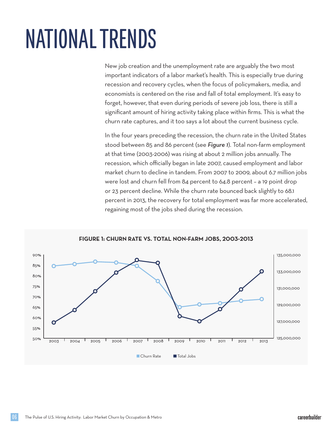# NATIONAL TRENDS

New job creation and the unemployment rate are arguably the two most important indicators of a labor market's health. This is especially true during recession and recovery cycles, when the focus of policymakers, media, and economists is centered on the rise and fall of total employment. It's easy to forget, however, that even during periods of severe job loss, there is still a significant amount of hiring activity taking place within firms. This is what the churn rate captures, and it too says a lot about the current business cycle.

In the four years preceding the recession, the churn rate in the United States stood between 85 and 86 percent (see *Figure 1*). Total non-farm employment at that time (2003-2006) was rising at about 2 million jobs annually. The recession, which officially began in late 2007, caused employment and labor market churn to decline in tandem. From 2007 to 2009, about 6.7 million jobs were lost and churn fell from 84 percent to 64.8 percent – a 19 point drop or 23 percent decline. While the churn rate bounced back slightly to 68.1 percent in 2013, the recovery for total employment was far more accelerated, regaining most of the jobs shed during the recession.



**FIGURE 1: CHURN RATE VS. TOTAL NON-FARM JOBS, 2003-2013**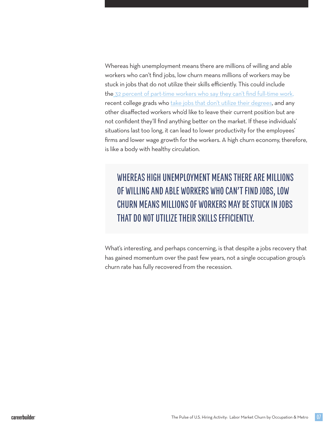Whereas high unemployment means there are millions of willing and able workers who can't find jobs, low churn means millions of workers may be stuck in jobs that do not utilize their skills efficiently. This could include the 32 percent of part-time workers who say they can't find full-time work, recent college grads who take jobs that don't utilize their degrees, and any other disaffected workers who'd like to leave their current position but are not confident they'll find anything better on the market. If these individuals' situations last too long, it can lead to lower productivity for the employees' firms and lower wage growth for the workers. A high churn economy, therefore, is like a body with healthy circulation.

WHEREAS HIGH UNEMPLOYMENT MEANS THERE ARE MILLIONS OF WILLING AND ABLE WORKERS WHO CAN'T FIND JOBS, LOW CHURN MEANS MILLIONS OF WORKERS MAY BE STUCK IN JOBS THAT DO NOT UTILIZE THEIR SKILLS EFFICIENTLY.

What's interesting, and perhaps concerning, is that despite a jobs recovery that has gained momentum over the past few years, not a single occupation group's churn rate has fully recovered from the recession.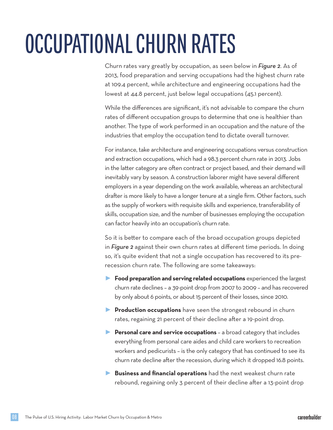# OCCUPATIONAL CHURN RATES

Churn rates vary greatly by occupation, as seen below in *Figure 2*. As of 2013, food preparation and serving occupations had the highest churn rate at 109.4 percent, while architecture and engineering occupations had the lowest at 44.8 percent, just below legal occupations (45.1 percent).

While the differences are significant, it's not advisable to compare the churn rates of different occupation groups to determine that one is healthier than another. The type of work performed in an occupation and the nature of the industries that employ the occupation tend to dictate overall turnover.

For instance, take architecture and engineering occupations versus construction and extraction occupations, which had a 98.3 percent churn rate in 2013. Jobs in the latter category are often contract or project based, and their demand will inevitably vary by season. A construction laborer might have several different employers in a year depending on the work available, whereas an architectural drafter is more likely to have a longer tenure at a single firm. Other factors, such as the supply of workers with requisite skills and experience, transferability of skills, occupation size, and the number of businesses employing the occupation can factor heavily into an occupation's churn rate.

So it is better to compare each of the broad occupation groups depicted in *Figure 2* against their own churn rates at different time periods. In doing so, it's quite evident that not a single occupation has recovered to its prerecession churn rate. The following are some takeaways:

- ► **Food preparation and serving related occupations** experienced the largest churn rate declines – a 39-point drop from 2007 to 2009 – and has recovered by only about 6 points, or about 15 percent of their losses, since 2010.
- **Production occupations** have seen the strongest rebound in churn rates, regaining 21 percent of their decline after a 19-point drop.
- ► **Personal care and service occupations** a broad category that includes everything from personal care aides and child care workers to recreation workers and pedicurists – is the only category that has continued to see its churn rate decline after the recession, during which it dropped 16.8 points.
- Business and financial operations had the next weakest churn rate rebound, regaining only 3 percent of their decline after a 13-point drop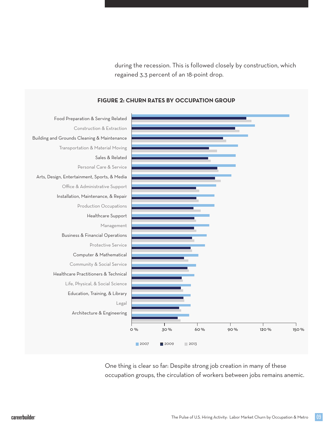during the recession. This is followed closely by construction, which regained 3.3 percent of an 18-point drop.



**FIGURE 2: CHURN RATES BY OCCUPATION GROUP** 

One thing is clear so far: Despite strong job creation in many of these occupation groups, the circulation of workers between jobs remains anemic.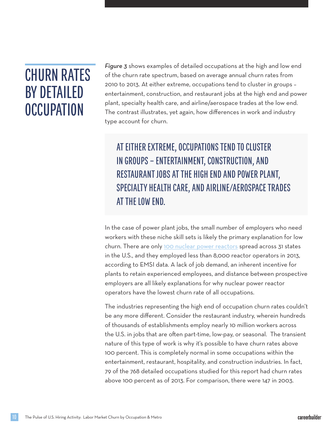### CHURN RATES BY DETAILED **OCCUPATION**

*Figure 3* shows examples of detailed occupations at the high and low end of the churn rate spectrum, based on average annual churn rates from 2010 to 2013. At either extreme, occupations tend to cluster in groups – entertainment, construction, and restaurant jobs at the high end and power plant, specialty health care, and airline/aerospace trades at the low end. The contrast illustrates, yet again, how differences in work and industry type account for churn.

### AT EITHER EXTREME, OCCUPATIONS TEND TO CLUSTER IN GROUPS – ENTERTAINMENT, CONSTRUCTION, AND RESTAURANT JOBS AT THE HIGH END AND POWER PLANT, SPECIALTY HEALTH CARE, AND AIRLINE/AEROSPACE TRADES AT THE LOW END.

In the case of power plant jobs, the small number of employers who need workers with these niche skill sets is likely the primary explanation for low churn. There are only 100 nuclear power reactors spread across 31 states in the U.S., and they employed less than 8,000 reactor operators in 2013, according to EMSI data. A lack of job demand, an inherent incentive for plants to retain experienced employees, and distance between prospective employers are all likely explanations for why nuclear power reactor operators have the lowest churn rate of all occupations.

The industries representing the high end of occupation churn rates couldn't be any more different. Consider the restaurant industry, wherein hundreds of thousands of establishments employ nearly 10 million workers across the U.S. in jobs that are often part-time, low-pay, or seasonal. The transient nature of this type of work is why it's possible to have churn rates above 100 percent. This is completely normal in some occupations within the entertainment, restaurant, hospitality, and construction industries. In fact, 79 of the 768 detailed occupations studied for this report had churn rates above 100 percent as of 2013. For comparison, there were 147 in 2003.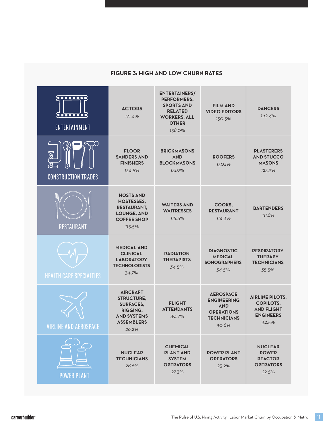#### $FIGURE 3: HIGH AND LOW CHURN RATES$

| 3888882<br><u>s mm 3</u><br><b>ENTERTAINMENT</b> | <b>ACTORS</b><br>171.4%                                                                                                         | <b>ENTERTAINERS/</b><br>PERFORMERS,<br><b>SPORTS AND</b><br><b>RELATED</b><br><b>WORKERS, ALL</b><br><b>OTHER</b><br>158.0% | <b>FILM AND</b><br><b>VIDEO EDITORS</b><br>150.5%                                                        | <b>DANCERS</b><br>142.4%                                                                     |
|--------------------------------------------------|---------------------------------------------------------------------------------------------------------------------------------|-----------------------------------------------------------------------------------------------------------------------------|----------------------------------------------------------------------------------------------------------|----------------------------------------------------------------------------------------------|
| .ŏ,<br><b>CONSTRUCTION TRADES</b>                | <b>FLOOR</b><br><b>SANDERS AND</b><br><b>FINISHERS</b><br>134.5%                                                                | <b>BRICKMASONS</b><br><b>AND</b><br><b>BLOCKMASONS</b><br>131.9%                                                            | <b>ROOFERS</b><br>130.1%                                                                                 | <b>PLASTERERS</b><br><b>AND STUCCO</b><br><b>MASONS</b><br>123.9%                            |
| <b>RESTAURANT</b>                                | <b>HOSTS AND</b><br><b>HOSTESSES,</b><br><b>RESTAURANT,</b><br><b>LOUNGE, AND</b><br><b>COFFEE SHOP</b><br>115.5%               | <b>WAITERS AND</b><br><b>WAITRESSES</b><br>115.5%                                                                           | COOKS,<br><b>RESTAURANT</b><br>114.3%                                                                    | <b>BARTENDERS</b><br>111.6%                                                                  |
| <b>HEALTH CARE SPECIALTIES</b>                   | <b>MEDICAL AND</b><br><b>CLINICAL</b><br><b>LABORATORY</b><br><b>TECHNOLOGISTS</b><br>34.7%                                     | <b>RADIATION</b><br><b>THERAPISTS</b><br>34.5%                                                                              | <b>DIAGNOSTIC</b><br><b>MEDICAL</b><br><b>SONOGRAPHERS</b><br>34.5%                                      | <b>RESPIRATORY</b><br><b>THERAPY</b><br><b>TECHNICIANS</b><br>35.5%                          |
| <b>AIRLINE AND AEROSPACE</b>                     | <b>AIRCRAFT</b><br><b>STRUCTURE.</b><br><b>SURFACES,</b><br><b>RIGGING.</b><br><b>AND SYSTEMS</b><br><b>ASSEMBLERS</b><br>26.2% | <b>FLIGHT</b><br><b>ATTENDANTS</b><br>30.7%                                                                                 | <b>AEROSPACE</b><br><b>ENGINEERING</b><br><b>AND</b><br><b>OPERATIONS</b><br><b>TECHNICIANS</b><br>30.8% | <b>AIRLINE PILOTS,</b><br><b>COPILOTS,</b><br><b>AND FLIGHT</b><br><b>ENGINEERS</b><br>32.5% |
| <b>POWER PLANT</b>                               | <b>NUCLEAR</b><br><b>TECHNICIANS</b><br>28.6%                                                                                   | <b>CHEMICAL</b><br><b>PLANT AND</b><br><b>SYSTEM</b><br><b>OPERATORS</b><br>27.3%                                           | <b>POWER PLANT</b><br><b>OPERATORS</b><br>23.2%                                                          | <b>NUCLEAR</b><br><b>POWER</b><br><b>REACTOR</b><br><b>OPERATORS</b><br>22.5%                |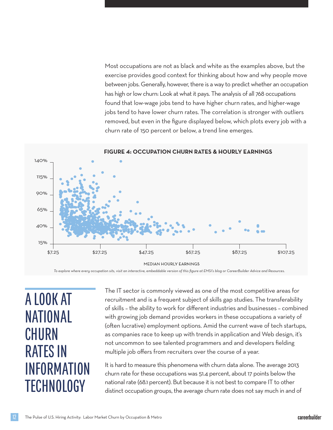Most occupations are not as black and white as the examples above, but the exercise provides good context for thinking about how and why people move between jobs. Generally, however, there is a way to predict whether an occupation has high or low churn: Look at what it pays. The analysis of all 768 occupations found that low-wage jobs tend to have higher churn rates, and higher-wage jobs tend to have lower churn rates. The correlation is stronger with outliers removed, but even in the figure displayed below, which plots every job with a churn rate of 150 percent or below, a trend line emerges.



*To explore where every occupation sits, visit an interactive, embeddable version of this figure at EMSI's blog or CareerBuilder Advice and Resources.* 

A LOOK AT NATIONAL **CHURN** RATES IN INFORMATION **TECHNOLOGY** 

The IT sector is commonly viewed as one of the most competitive areas for recruitment and is a frequent subject of skills gap studies. The transferability of skills – the ability to work for different industries and businesses – combined with growing job demand provides workers in these occupations a variety of (often lucrative) employment options. Amid the current wave of tech startups, as companies race to keep up with trends in application and Web design, it's not uncommon to see talented programmers and and developers fielding multiple job offers from recruiters over the course of a year.

It is hard to measure this phenomena with churn data alone. The average 2013 churn rate for these occupations was 51.4 percent, about 17 points below the national rate (68.1 percent). But because it is not best to compare IT to other distinct occupation groups, the average churn rate does not say much in and of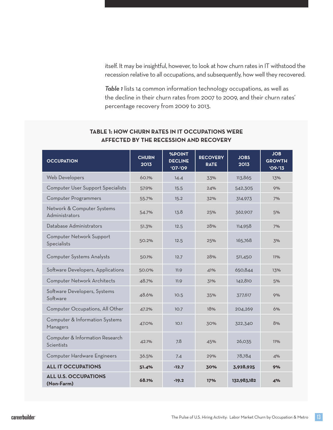itself. It may be insightful, however, to look at how churn rates in IT withstood the recession relative to all occupations, and subsequently, how well they recovered.

*Table 1* lists 14 common information technology occupations, as well as the decline in their churn rates from 2007 to 2009, and their churn rates' percentage recovery from 2009 to 2013.

| <b>OCCUPATION</b>                             | <b>CHURN</b><br>2013 | <b>%POINT</b><br><b>DECLINE</b><br>$'O7 - 'O9$ | <b>RECOVERY</b><br><b>RATE</b> | <b>JOBS</b><br>2013 | <b>JOB</b><br><b>GROWTH</b><br>$'09 - '13$ |
|-----------------------------------------------|----------------------|------------------------------------------------|--------------------------------|---------------------|--------------------------------------------|
| Web Developers                                | 60.1%                | 14.4                                           | 33%                            | 113,865             | 13%                                        |
| Computer User Support Specialists             | 57.9%                | 15.5                                           | 24%                            | 542,305             | 9%                                         |
| <b>Computer Programmers</b>                   | 55.7%                | 15.2                                           | 32%                            | 314,973             | 7%                                         |
| Network & Computer Systems<br>Administrators  | 54.7%                | 13.8                                           | 25%                            | 362,907             | 5%                                         |
| Database Administrators                       | 51.3%                | 12.5                                           | 28%                            | 114,958             | 7%                                         |
| Computer Network Support<br>Specialists       | 50.2%                | 12.5                                           | 25%                            | 165,768             | 3%                                         |
| Computer Systems Analysts                     | 50.1%                | 12.7                                           | 28%                            | 511,450             | 11%                                        |
| Software Developers, Applications             | 50.0%                | 11.9                                           | 41%                            | 650,844             | 13%                                        |
| Computer Network Architects                   | 48.7%                | 11.9                                           | 31%                            | 142,810             | 5%                                         |
| Software Developers, Systems<br>Software      | 48.6%                | 10.5                                           | 35%                            | 377,617             | 9%                                         |
| Computer Occupations, All Other               | 47.2%                | 10.7                                           | 18%                            | 204,269             | 6%                                         |
| Computer & Information Systems<br>Managers    | 47.0%                | 10.1                                           | 30%                            | 322,340             | 8%                                         |
| Computer & Information Research<br>Scientists | 42.1%                | 7.8                                            | 45%                            | 26,035              | 11%                                        |
| Computer Hardware Engineers                   | 36.5%                | 7.4                                            | 29%                            | 78,784              | 4%                                         |
| <b>ALL IT OCCUPATIONS</b>                     | 51.4%                | $-12.7$                                        | 30%                            | 3,928,925           | 9%                                         |
| <b>ALL U.S. OCCUPATIONS</b><br>(Non-Farm)     | 68.1%                | $-19.2$                                        | 17%                            | 132,983,182         | 4%                                         |

#### **TABLE!\*-!HOW CHURN RATES IN IT OCCUPATIONS WERE AFFECTED BY THE RECESSION AND RECOVERY**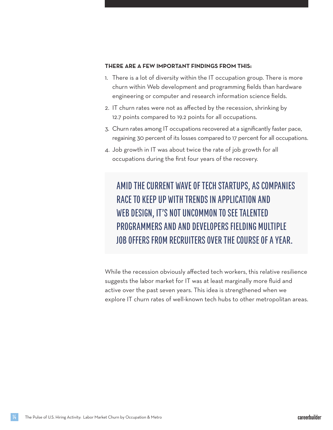#### **THERE ARE A FEW IMPORTANT FINDINGS FROM THIS-!**

- 1. There is a lot of diversity within the IT occupation group. There is more churn within Web development and programming fields than hardware engineering or computer and research information science fields.
- 2. IT churn rates were not as affected by the recession, shrinking by 12.7 points compared to 19.2 points for all occupations.
- 3. Churn rates among IT occupations recovered at a significantly faster pace, regaining 30 percent of its losses compared to 17 percent for all occupations.
- 4. Job growth in IT was about twice the rate of job growth for all occupations during the first four years of the recovery.

AMID THE CURRENT WAVE OF TECH STARTUPS, AS COMPANIES RACE TO KEEP UP WITH TRENDS IN APPLICATION AND WEB DESIGN, IT'S NOT UNCOMMON TO SEE TALENTED PROGRAMMERS AND AND DEVELOPERS FIELDING MULTIPLE JOB OFFERS FROM RECRUITERS OVER THE COURSE OF A YEAR.

While the recession obviously affected tech workers, this relative resilience suggests the labor market for IT was at least marginally more fluid and active over the past seven years. This idea is strengthened when we explore IT churn rates of well-known tech hubs to other metropolitan areas.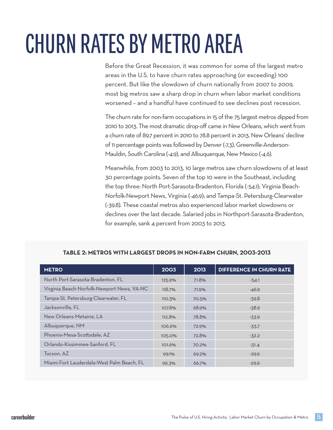# CHURN RATES BY METRO AREA

Before the Great Recession, it was common for some of the largest metro areas in the U.S. to have churn rates approaching (or exceeding) 100 percent. But like the slowdown of churn nationally from 2007 to 2009, most big metros saw a sharp drop in churn when labor market conditions worsened – and a handful have continued to see declines post recession.

The churn rate for non-farm occupations in 15 of the 75 largest metros dipped from 2010 to 2013. The most dramatic drop-off came in New Orleans, which went from a churn rate of 89.7 percent in 2010 to 78.8 percent in 2013. New Orleans' decline of 11 percentage points was followed by Denver (-7.3), Greenville-Anderson-Mauldin, South Carolina (-4.9), and Albuquerque, New Mexico (-4.6).

Meanwhile, from 2003 to 2013, 10 large metros saw churn slowdowns of at least 30 percentage points. Seven of the top 10 were in the Southeast, including the top three: North Port-Sarasota-Bradenton, Florida (-54.1); Virginia Beach-Norfolk-Newport News, Virginia (-46.9); and Tampa-St. Petersburg-Clearwater (-39.8). These coastal metros also experienced labor market slowdowns or declines over the last decade. Salaried jobs in Northport-Sarasota-Bradenton, for example, sank 4 percent from 2003 to 2013.

| <b>METRO</b>                               | 2003          | 2013  | <b>DIFFERENCE IN CHURN RATE</b> |
|--------------------------------------------|---------------|-------|---------------------------------|
| North Port-Sarasota-Bradenton, FL          | 125.9%        | 71.8% | $-54.1$                         |
| Virginia Beach-Norfolk-Newport News, VA-NC | 118.7%        | 71.9% | $-46.9$                         |
| Tampa-St. Petersburg-Clearwater, FL        | <b>110.3%</b> | 70.5% | $-39.8$                         |
| Jacksonville, FL                           | 107.8%        | 68.9% | $-38.9$                         |
| New Orleans-Metairie, LA                   | 112.8%        | 78.8% | $-33.9$                         |
| Albuquerque, NM                            | 106.6%        | 72.9% | $-33.7$                         |
| Phoenix-Mesa-Scottsdale, AZ                | 105.0%        | 72.8% | $-32.2$                         |
| Orlando-Kissimmee-Sanford, FL              | 101.6%        | 70.2% | $-31.4$                         |
| Tucson, AZ                                 | 99.1%         | 69.2% | $-29.9$                         |
| Miami-Fort Lauderdale-West Palm Beach, FL  | 96.3%         | 66.7% | $-29.6$                         |

#### **14BLE** 2: METROS WITH LARGEST DROPS IN NON-FARM CHURN, 2003-2013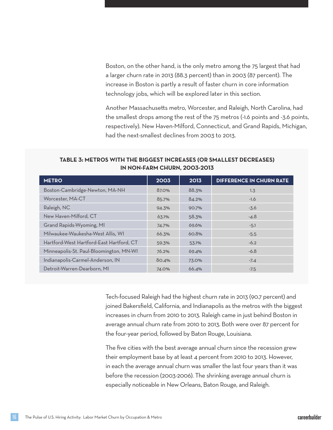Boston, on the other hand, is the only metro among the 75 largest that had a larger churn rate in 2013 (88.3 percent) than in 2003 (87 percent). The increase in Boston is partly a result of faster churn in core information technology jobs, which will be explored later in this section.

Another Massachusetts metro, Worcester, and Raleigh, North Carolina, had the smallest drops among the rest of the 75 metros (-1.6 points and -3.6 points, respectively). New Haven-Milford, Connecticut, and Grand Rapids, Michigan, had the next-smallest declines from 2003 to 2013.

#### $TABLE 3: METROS WITH THE BIGGEST INCREASES (OR SMALLEST DECREASES)$ **IN NON-FARM CHURN, 2003-2013**

| <b>METRO</b>                             | 2003  | 2013  | <b>DIFFERENCE IN CHURN RATE</b> |
|------------------------------------------|-------|-------|---------------------------------|
| Boston-Cambridge-Newton, MA-NH           | 87.0% | 88.3% | 1.3                             |
| Worcester, MA-CT                         | 85.7% | 84.2% | $-1.6$                          |
| Raleigh, NC                              | 94.3% | 90.7% | $-3.6$                          |
| New Haven-Milford, CT                    | 63.1% | 58.3% | $-4.8$                          |
| Grand Rapids-Wyoming, MI                 | 74.7% | 69.6% | $-5.1$                          |
| Milwaukee-Waukesha-West Allis, WI        | 66.3% | 60.8% | $-5.5$                          |
| Hartford-West Hartford-East Hartford, CT | 59.3% | 53.1% | $-6.2$                          |
| Minneapolis-St. Paul-Bloomington, MN-WI  | 76.2% | 69.4% | $-6.8$                          |
| Indianapolis-Carmel-Anderson, IN         | 80.4% | 73.0% | $-7.4$                          |
| Detroit-Warren-Dearborn, MI              | 74.0% | 66.4% | $-7.5$                          |

Tech-focused Raleigh had the highest churn rate in 2013 (90.7 percent) and joined Bakersfield, California, and Indianapolis as the metros with the biggest increases in churn from 2010 to 2013. Raleigh came in just behind Boston in average annual churn rate from 2010 to 2013. Both were over 87 percent for the four-year period, followed by Baton Rouge, Louisiana.

The five cities with the best average annual churn since the recession grew their employment base by at least 4 percent from 2010 to 2013. However, in each the average annual churn was smaller the last four years than it was before the recession (2003-2006). The shrinking average annual churn is especially noticeable in New Orleans, Baton Rouge, and Raleigh.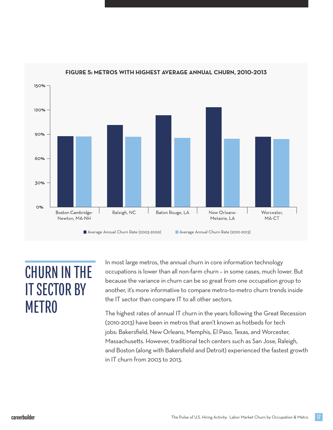

#### **FIGURE 5: METROS WITH HIGHEST AVERAGE ANNUAL CHURN, 2010-2013**

### CHURN IN THE IT SECTOR BY METRO

In most large metros, the annual churn in core information technology occupations is lower than all non-farm churn – in some cases, much lower. But because the variance in churn can be so great from one occupation group to another, it's more informative to compare metro-to-metro churn trends inside the IT sector than compare IT to all other sectors.

The highest rates of annual IT churn in the years following the Great Recession (2010-2013) have been in metros that aren't known as hotbeds for tech jobs: Bakersfield, New Orleans, Memphis, El Paso, Texas, and Worcester, Massachusetts. However, traditional tech centers such as San Jose, Raleigh, and Boston (along with Bakersfield and Detroit) experienced the fastest growth in IT churn from 2003 to 2013.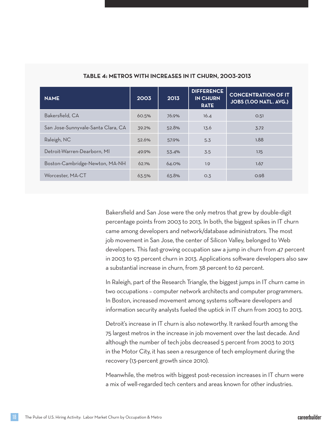| <b>NAME</b>                        | 2003  | 2013  | <b>DIFFERENCE</b><br><b>IN CHURN</b><br><b>RATE</b> | <b>CONCENTRATION OF IT</b><br>JOBS (1.00 NATL. AVG.) |
|------------------------------------|-------|-------|-----------------------------------------------------|------------------------------------------------------|
| Bakersfield, CA                    | 60.5% | 76.9% | 16.4                                                | O.51                                                 |
| San Jose-Sunnyvale-Santa Clara, CA | 39.2% | 52.8% | 13.6                                                | 3.72                                                 |
| Raleigh, NC                        | 52.6% | 57.9% | 5.3                                                 | 1.88                                                 |
| Detroit-Warren-Dearborn, MI        | 49.9% | 53.4% | 3.5                                                 | 1.15                                                 |
| Boston-Cambridge-Newton, MA-NH     | 62.1% | 64.0% | 1.9                                                 | 1.67                                                 |
| Worcester, MA-CT                   | 63.5% | 63.8% | O.3                                                 | 0.98                                                 |

#### **128 TABLE 4: METROS WITH INCREASES IN IT CHURN, 2003-2013**

Bakersfield and San Jose were the only metros that grew by double-digit percentage points from 2003 to 2013. In both, the biggest spikes in IT churn came among developers and network/database administrators. The most job movement in San Jose, the center of Silicon Valley, belonged to Web developers. This fast-growing occupation saw a jump in churn from 47 percent in 2003 to 93 percent churn in 2013. Applications software developers also saw a substantial increase in churn, from 38 percent to 62 percent.

In Raleigh, part of the Research Triangle, the biggest jumps in IT churn came in two occupations – computer network architects and computer programmers. In Boston, increased movement among systems software developers and information security analysts fueled the uptick in IT churn from 2003 to 2013.

Detroit's increase in IT churn is also noteworthy. It ranked fourth among the 75 largest metros in the increase in job movement over the last decade. And although the number of tech jobs decreased 5 percent from 2003 to 2013 in the Motor City, it has seen a resurgence of tech employment during the recovery (13-percent growth since 2010).

Meanwhile, the metros with biggest post-recession increases in IT churn were a mix of well-regarded tech centers and areas known for other industries.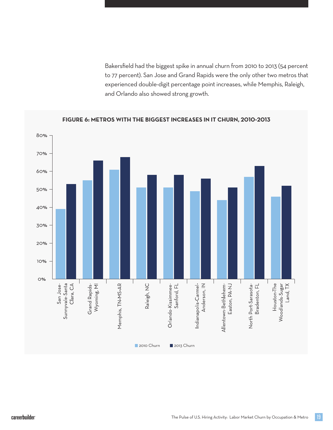Bakersfield had the biggest spike in annual churn from 2010 to 2013 (54 percent to 77 percent). San Jose and Grand Rapids were the only other two metros that experienced double-digit percentage point increases, while Memphis, Raleigh, and Orlando also showed strong growth.



#### **FIGURE 6: METROS WITH THE BIGGEST INCREASES IN IT CHURN, 2010-2013**